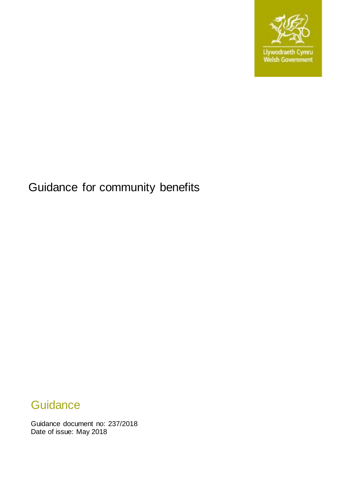

# Guidance for community benefits

# **Guidance**

Guidance document no: 237/2018 Date of issue: May 2018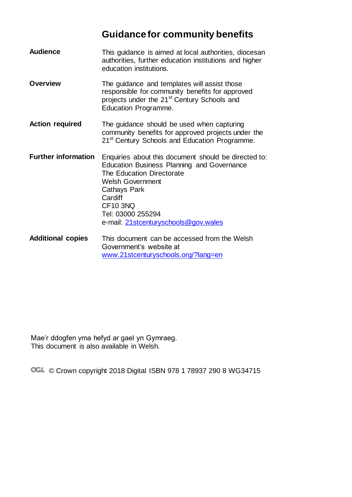# **Guidance for community benefits**

| <b>Audience</b>            | This guidance is aimed at local authorities, diocesan<br>authorities, further education institutions and higher<br>education institutions.                                                                                                                                   |
|----------------------------|------------------------------------------------------------------------------------------------------------------------------------------------------------------------------------------------------------------------------------------------------------------------------|
| <b>Overview</b>            | The guidance and templates will assist those<br>responsible for community benefits for approved<br>projects under the 21 <sup>st</sup> Century Schools and<br>Education Programme.                                                                                           |
| <b>Action required</b>     | The guidance should be used when capturing<br>community benefits for approved projects under the<br>21 <sup>st</sup> Century Schools and Education Programme.                                                                                                                |
| <b>Further information</b> | Enquiries about this document should be directed to:<br><b>Education Business Planning and Governance</b><br>The Education Directorate<br><b>Welsh Government</b><br>Cathays Park<br>Cardiff<br><b>CF10 3NQ</b><br>Tel: 03000 255294<br>e-mail: 21stcenturyschools@gov.wales |
| <b>Additional copies</b>   | This document can be accessed from the Welsh<br>Government's website at<br>www.21stcenturyschools.org/?lang=en                                                                                                                                                               |

Mae'r ddogfen yma hefyd ar gael yn Gymraeg. This document is also available in Welsh.

OGL © Crown copyright 2018 Digital ISBN 978 1 78937 290 8 WG34715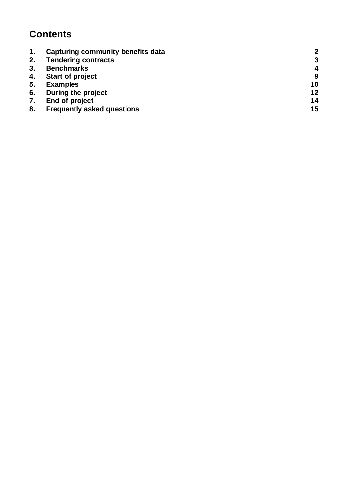# **Contents**

| $\mathbf{1}$ . | Capturing community benefits data | 2  |
|----------------|-----------------------------------|----|
| 2.             | <b>Tendering contracts</b>        | 3  |
| 3.             | <b>Benchmarks</b>                 | 4  |
| 4.             | <b>Start of project</b>           | 9  |
| 5.             | <b>Examples</b>                   | 10 |
| 6.             | During the project                | 12 |
| 7.             | End of project                    | 14 |
| 8.             | <b>Frequently asked questions</b> | 15 |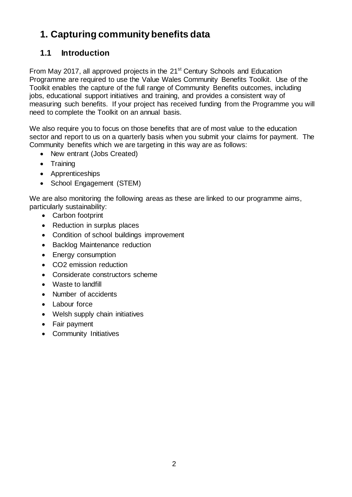# <span id="page-3-0"></span>**1. Capturing community benefits data**

## **1.1 Introduction**

From May 2017, all approved projects in the 21<sup>st</sup> Century Schools and Education Programme are required to use the Value Wales Community Benefits Toolkit. Use of the Toolkit enables the capture of the full range of Community Benefits outcomes, including jobs, educational support initiatives and training, and provides a consistent way of measuring such benefits. If your project has received funding from the Programme you will need to complete the Toolkit on an annual basis.

We also require you to focus on those benefits that are of most value to the education sector and report to us on a quarterly basis when you submit your claims for payment. The Community benefits which we are targeting in this way are as follows:

- New entrant (Jobs Created)
- Training
- Apprenticeships
- School Engagement (STEM)

We are also monitoring the following areas as these are linked to our programme aims, particularly sustainability:

- Carbon footprint
- Reduction in surplus places
- Condition of school buildings improvement
- Backlog Maintenance reduction
- Energy consumption
- CO2 emission reduction
- Considerate constructors scheme
- Waste to landfill
- Number of accidents
- Labour force
- Welsh supply chain initiatives
- Fair payment
- Community Initiatives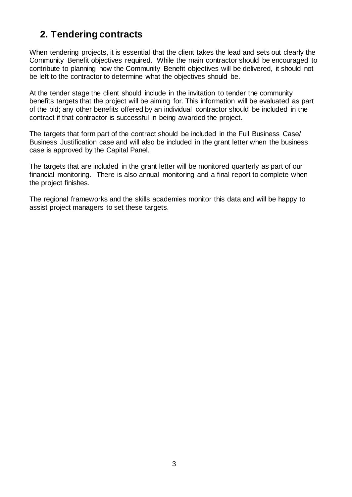## <span id="page-4-0"></span>**2. Tendering contracts**

When tendering projects, it is essential that the client takes the lead and sets out clearly the Community Benefit objectives required. While the main contractor should be encouraged to contribute to planning how the Community Benefit objectives will be delivered, it should not be left to the contractor to determine what the objectives should be.

At the tender stage the client should include in the invitation to tender the community benefits targets that the project will be aiming for. This information will be evaluated as part of the bid; any other benefits offered by an individual contractor should be included in the contract if that contractor is successful in being awarded the project.

The targets that form part of the contract should be included in the Full Business Case/ Business Justification case and will also be included in the grant letter when the business case is approved by the Capital Panel.

The targets that are included in the grant letter will be monitored quarterly as part of our financial monitoring. There is also annual monitoring and a final report to complete when the project finishes.

The regional frameworks and the skills academies monitor this data and will be happy to assist project managers to set these targets.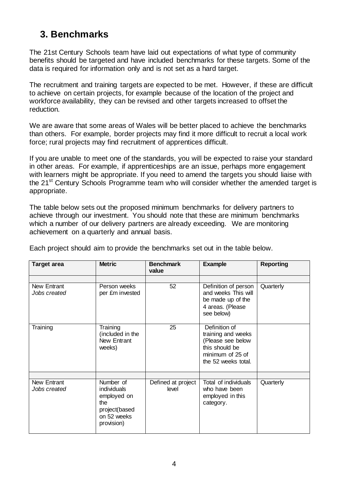## <span id="page-5-0"></span>**3. Benchmarks**

The 21st Century Schools team have laid out expectations of what type of community benefits should be targeted and have included benchmarks for these targets. Some of the data is required for information only and is not set as a hard target.

The recruitment and training targets are expected to be met. However, if these are difficult to achieve on certain projects, for example because of the location of the project and workforce availability, they can be revised and other targets increased to offset the reduction.

We are aware that some areas of Wales will be better placed to achieve the benchmarks than others. For example, border projects may find it more difficult to recruit a local work force; rural projects may find recruitment of apprentices difficult.

If you are unable to meet one of the standards, you will be expected to raise your standard in other areas. For example, if apprenticeships are an issue, perhaps more engagement with learners might be appropriate. If you need to amend the targets you should liaise with the 21<sup>st</sup> Century Schools Programme team who will consider whether the amended target is appropriate.

The table below sets out the proposed minimum benchmarks for delivery partners to achieve through our investment. You should note that these are minimum benchmarks which a number of our delivery partners are already exceeding. We are monitoring achievement on a quarterly and annual basis.

| <b>Target area</b>          | <b>Metric</b>                                                                                | <b>Benchmark</b><br>value   | <b>Example</b>                                                                                                        | <b>Reporting</b> |
|-----------------------------|----------------------------------------------------------------------------------------------|-----------------------------|-----------------------------------------------------------------------------------------------------------------------|------------------|
| New Entrant<br>Jobs created | Person weeks<br>per £m invested                                                              | 52                          | Definition of person<br>and weeks This will<br>be made up of the<br>4 areas. (Please<br>see below)                    | Quarterly        |
| Training                    | Training<br>(included in the<br>New Entrant<br>weeks)                                        | 25                          | Definition of<br>training and weeks<br>(Please see below<br>this should be<br>minimum of 25 of<br>the 52 weeks total. |                  |
| New Entrant<br>Jobs created | Number of<br>individuals<br>employed on<br>the<br>project(based<br>on 52 weeks<br>provision) | Defined at project<br>level | Total of individuals<br>who have been<br>employed in this<br>category.                                                |                  |

Each project should aim to provide the benchmarks set out in the table below.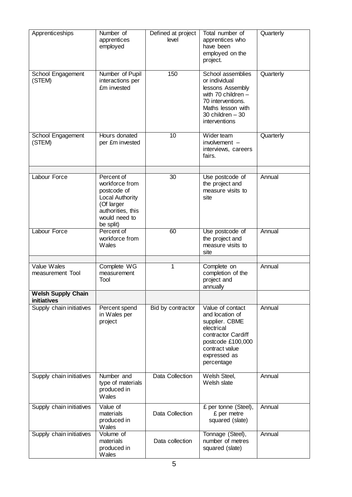| Apprenticeships                          | Number of<br>apprentices<br>employed                                                                                            | Defined at project<br>level | Total number of<br>apprentices who<br>have been<br>employed on the<br>project.                                                                                   | Quarterly |
|------------------------------------------|---------------------------------------------------------------------------------------------------------------------------------|-----------------------------|------------------------------------------------------------------------------------------------------------------------------------------------------------------|-----------|
| School Engagement<br>(STEM)              | Number of Pupil<br>interactions per<br>£m invested                                                                              | 150                         | School assemblies<br>or individual<br>lessons Assembly<br>with $70$ children $-$<br>70 interventions.<br>Maths lesson with<br>30 children $-30$<br>interventions | Quarterly |
| School Engagement<br>(STEM)              | Hours donated<br>per £m invested                                                                                                | 10                          | Wider team<br>involvement -<br>interviews, careers<br>fairs.                                                                                                     | Quarterly |
| Labour Force                             | Percent of<br>workforce from<br>postcode of<br>Local Authority<br>(Of larger<br>authorities, this<br>would need to<br>be split) | 30                          | Use postcode of<br>the project and<br>measure visits to<br>site                                                                                                  | Annual    |
| Labour Force                             | Percent of<br>workforce from<br>Wales                                                                                           | 60                          | Use postcode of<br>the project and<br>measure visits to<br>site                                                                                                  | Annual    |
| Value Wales<br>measurement Tool          | Complete WG<br>measurement<br>Tool                                                                                              | 1                           | Complete on<br>completion of the<br>project and<br>annually                                                                                                      | Annual    |
| <b>Welsh Supply Chain</b><br>initiatives |                                                                                                                                 |                             |                                                                                                                                                                  |           |
| Supply chain initiatives                 | Percent spend<br>in Wales per<br>project                                                                                        | Bid by contractor           | Value of contact<br>and location of<br>supplier. CBME<br>electrical<br>contractor Cardiff<br>postcode £100,000<br>contract value<br>expressed as<br>percentage   | Annual    |
| Supply chain initiatives                 | Number and<br>type of materials<br>produced in<br>Wales                                                                         | Data Collection             | Welsh Steel,<br>Welsh slate                                                                                                                                      | Annual    |
| Supply chain initiatives                 | Value of<br>materials<br>produced in<br>Wales                                                                                   | Data Collection             | £ per tonne (Steel),<br>£ per metre<br>squared (slate)                                                                                                           | Annual    |
| Supply chain initiatives                 | Volume of<br>materials<br>produced in<br>Wales                                                                                  | Data collection             | Tonnage (Steel),<br>number of metres<br>squared (slate)                                                                                                          | Annual    |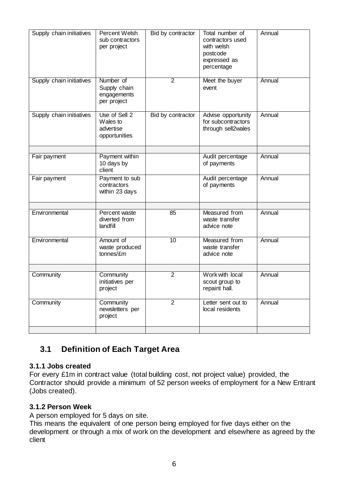| Supply chain initiatives | <b>Percent Welsh</b><br>sub contractors<br>per project      | Bid by contractor | Total number of<br>contractors used<br>with welsh<br>postcode<br>expressed as<br>percentage | Annual |
|--------------------------|-------------------------------------------------------------|-------------------|---------------------------------------------------------------------------------------------|--------|
| Supply chain initiatives | Number of<br>Supply chain<br>engagements<br>per project     | $\overline{2}$    | Meet the buyer<br>event                                                                     | Annual |
| Supply chain initiatives | Use of Sell 2<br>Wales to<br>advertise<br>opportunities     | Bid by contractor | Advise opportunity<br>for subcontractors<br>through sell2wales                              | Annual |
| Fair payment             | Payment within<br>10 days by<br>client                      |                   | Audit percentage<br>of payments                                                             | Annual |
| Fair payment             | Payment to sub<br>contractors<br>within 23 days             |                   | Audit percentage<br>of payments                                                             | Annual |
| Environmental            | Percent waste<br>diverted from<br>landfill                  | 85                | Measured from<br>waste transfer<br>advice note                                              | Annual |
| Environmental            | Amount of<br>$\overline{10}$<br>waste produced<br>tonnes/£m |                   | Measured from<br>waste transfer<br>advice note                                              | Annual |
| Community                | Community                                                   | $\overline{2}$    | Work with local                                                                             | Annual |
|                          | initiatives per<br>project                                  |                   | scout group to<br>repaint hall.                                                             |        |
| Community                | Community<br>newsletters per<br>project                     | $\overline{2}$    | Letter sent out to<br>local residents                                                       | Annual |

## **3.1 Definition of Each Target Area**

#### **3.1.1 Jobs created**

For every £1m in contract value (total building cost, not project value) provided, the Contractor should provide a minimum of 52 person weeks of employment for a New Entrant (Jobs created).

#### **3.1.2 Person Week**

A person employed for 5 days on site.

This means the equivalent of one person being employed for five days either on the development or through a mix of work on the development and elsewhere as agreed by the client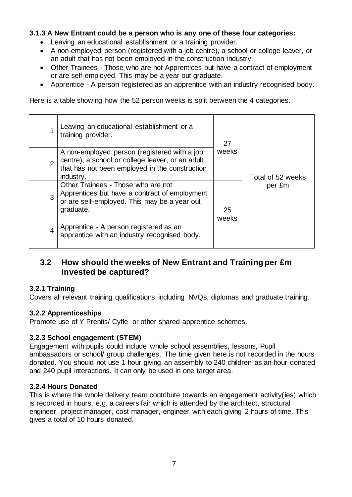#### **3.1.3 A New Entrant could be a person who is any one of these four categories:**

- Leaving an educational establishment or a training provider.
- A non-employed person (registered with a job centre), a school or college leaver, or an adult that has not been employed in the construction industry.
- Other Trainees Those who are not Apprentices but have a contract of employment or are self-employed. This may be a year out graduate.
- Apprentice A person registered as an apprentice with an industry recognised body.

Here is a table showing how the 52 person weeks is split between the 4 categories.

|                | Leaving an educational establishment or a<br>training provider.                                                                                                 | 27    |                   |
|----------------|-----------------------------------------------------------------------------------------------------------------------------------------------------------------|-------|-------------------|
| $\overline{2}$ | A non-employed person (registered with a job<br>centre), a school or college leaver, or an adult<br>that has not been employed in the construction<br>industry. | weeks | Total of 52 weeks |
| 3              | Other Trainees - Those who are not<br>Apprentices but have a contract of employment<br>or are self-employed. This may be a year out<br>graduate.                | 25    | per £m            |
| $\overline{4}$ | Apprentice - A person registered as an<br>apprentice with an industry recognised body.                                                                          |       |                   |

### **3.2 How should the weeks of New Entrant and Training per £m invested be captured?**

#### **3.2.1 Training**

Covers all relevant training qualifications including NVQs, diplomas and graduate training.

#### **3.2.2 Apprenticeships**

Promote use of Y Prentis/ Cyfle or other shared apprentice schemes.

#### **3.2.3 School engagement (STEM)**

Engagement with pupils could include whole school assemblies, lessons, Pupil ambassadors or school/ group challenges. The time given here is not recorded in the hours donated. You should not use 1 hour giving an assembly to 240 children as an hour donated and 240 pupil interactions. It can only be used in one target area.

#### **3.2.4 Hours Donated**

This is where the whole delivery team contribute towards an engagement activity(ies) which is recorded in hours, e.g. a careers fair which is attended by the architect, structural engineer, project manager, cost manager, engineer with each giving 2 hours of time. This gives a total of 10 hours donated.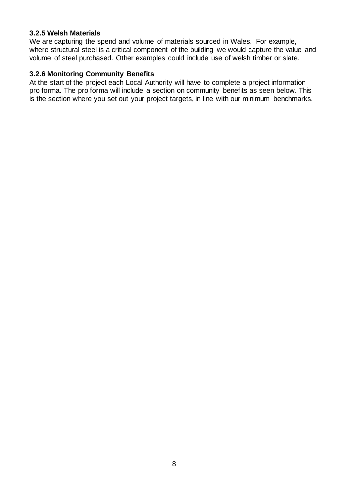#### **3.2.5 Welsh Materials**

We are capturing the spend and volume of materials sourced in Wales. For example, where structural steel is a critical component of the building we would capture the value and volume of steel purchased. Other examples could include use of welsh timber or slate.

#### **3.2.6 Monitoring Community Benefits**

At the start of the project each Local Authority will have to complete a project information pro forma. The pro forma will include a section on community benefits as seen below. This is the section where you set out your project targets, in line with our minimum benchmarks.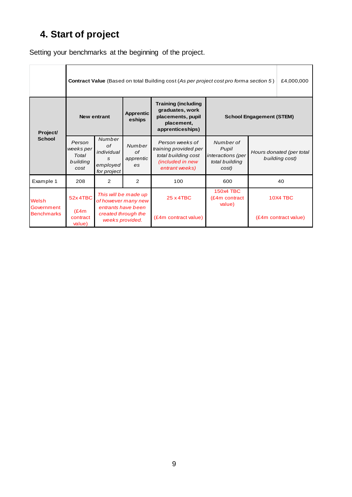# <span id="page-10-0"></span>**4. Start of project**

Setting your benchmarks at the beginning of the project.

|                     |                                                  | <b>Contract Value</b> (Based on total Building cost (As per project cost pro forma section 5)<br>£4,000,000 |                                                                |                                                                                                       |                                                                    |                                            |  |  |  |
|---------------------|--------------------------------------------------|-------------------------------------------------------------------------------------------------------------|----------------------------------------------------------------|-------------------------------------------------------------------------------------------------------|--------------------------------------------------------------------|--------------------------------------------|--|--|--|
| Project/            | <b>New entrant</b>                               |                                                                                                             | <b>Apprentic</b><br>eships                                     | <b>Training (including</b><br>graduates, work<br>placements, pupil<br>placement,<br>apprenticeships)  | <b>School Engagement (STEM)</b>                                    |                                            |  |  |  |
| <b>School</b>       | Person<br>weeks per<br>Total<br>building<br>cost | Number<br>of<br>individual<br>S<br>employed<br>for project                                                  | Number<br>of<br>apprentic<br>es.                               | Person weeks of<br>training provided per<br>total building cost<br>(included in new<br>entrant weeks) | Number of<br>Pupil<br>interactions (per<br>total building<br>cost) | Hours donated (per total<br>building cost) |  |  |  |
| Example 1           | 208                                              | 2                                                                                                           | $\overline{2}$                                                 | 100                                                                                                   | 600                                                                | 40                                         |  |  |  |
| Welsh<br>Government | 52x4TBC                                          | This will be made up<br>of however many new<br>entrants have been                                           |                                                                | 25 x 4TBC                                                                                             | <b>150x4 TBC</b><br>(£4m contract<br>value)                        | 10X4 TBC                                   |  |  |  |
| <b>Benchmarks</b>   | (E4m)<br>contract<br>value)                      |                                                                                                             | created through the<br>(£4m contract value)<br>weeks provided. |                                                                                                       |                                                                    | (£4m contract value)                       |  |  |  |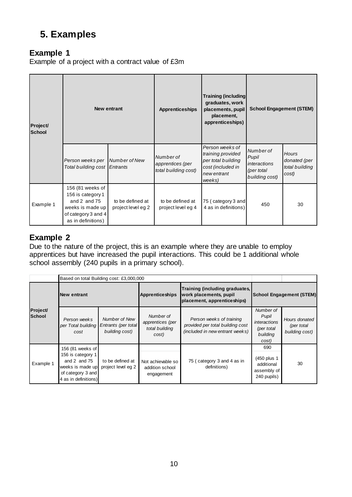# <span id="page-11-0"></span>**5. Examples**

### **Example 1**

Example of a project with a contract value of £3m

| Project/<br><b>School</b> | <b>New entrant</b>                                                                                                         |                                        | <b>Apprenticeships</b>                                | <b>Training (including</b><br>graduates, work<br>placements, pupil<br>placement,<br>apprenticeships)     | <b>School Engagement (STEM)</b>                                           |                                                         |
|---------------------------|----------------------------------------------------------------------------------------------------------------------------|----------------------------------------|-------------------------------------------------------|----------------------------------------------------------------------------------------------------------|---------------------------------------------------------------------------|---------------------------------------------------------|
|                           | Person weeks per<br>Total building cost                                                                                    | Number of New<br>Entrants              | Number of<br>apprentices (per<br>total building cost) | Person weeks of<br>training provided<br>per total building<br>cost (included in<br>new entrant<br>weeks) | Number of<br>Pupil<br><i>interactions</i><br>(per total<br>building cost) | <b>Hours</b><br>donated (per<br>total building<br>cost) |
| Example 1                 | 156 (81 weeks of<br>156 is category 1<br>and $2$ and $75$<br>weeks is made up<br>of category 3 and 4<br>as in definitions) | to be defined at<br>project level eg 2 | to be defined at<br>project level eg 4                | 75 (category 3 and<br>4 as in definitions)                                                               | 450                                                                       | 30                                                      |

### **Example 2**

Due to the nature of the project, this is an example where they are unable to employ apprentices but have increased the pupil interactions. This could be 1 additional whole school assembly (240 pupils in a primary school).

|  |                    | Based on total Building cost: £3,000,000                                                                                   |                                                        |                                                                                         |                                                                                                 |                                                                              |                                               |
|--|--------------------|----------------------------------------------------------------------------------------------------------------------------|--------------------------------------------------------|-----------------------------------------------------------------------------------------|-------------------------------------------------------------------------------------------------|------------------------------------------------------------------------------|-----------------------------------------------|
|  | <b>New entrant</b> |                                                                                                                            | <b>Apprenticeships</b>                                 | Training (including graduates,<br>work placements, pupil<br>placement, apprenticeships) | <b>School Engagement (STEM)</b>                                                                 |                                                                              |                                               |
|  | Project/<br>School | Person weeks<br>per Total building<br>cost                                                                                 | Number of New<br>Entrants (per total<br>building cost) | Number of<br>apprentices (per<br>total building<br>cost)                                | Person weeks of training<br>provided per total building cost<br>(included in new entrant weeks) | Number of<br>Pupil<br><i>interactions</i><br>(per total<br>building<br>cost) | Hours donated<br>(per total<br>building cost) |
|  | Example 1          | 156 (81 weeks of<br>156 is category 1<br>and $2$ and $75$<br>weeks is made up<br>of category 3 and<br>4 as in definitions) | to be defined at<br>project level eg 2                 | Not achievable so<br>addition school<br>engagement                                      | 75 (category 3 and 4 as in<br>definitions)                                                      | 690<br>(450 plus 1<br>additional<br>assembly of<br>240 pupils)               | 30                                            |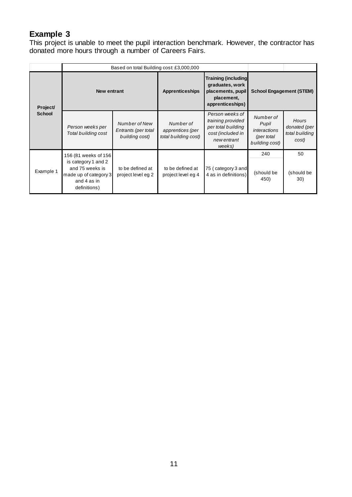## **Example 3**

This project is unable to meet the pupil interaction benchmark. However, the contractor has donated more hours through a number of Careers Fairs.

|                           | Based on total Building cost: £3,000,000                                                                                                                         |                                                        |                                                       |                                                                                                          |                                                                           |                                                  |
|---------------------------|------------------------------------------------------------------------------------------------------------------------------------------------------------------|--------------------------------------------------------|-------------------------------------------------------|----------------------------------------------------------------------------------------------------------|---------------------------------------------------------------------------|--------------------------------------------------|
| Project/<br><b>School</b> | <b>New entrant</b>                                                                                                                                               |                                                        | <b>Apprenticeships</b>                                | <b>Training (including</b><br>graduates, work<br>placements, pupil<br>placement,<br>apprenticeships)     | <b>School Engagement (STEM)</b>                                           |                                                  |
|                           | Person weeks per<br>Total building cost                                                                                                                          | Number of New<br>Entrants (per total<br>building cost) | Number of<br>apprentices (per<br>total building cost) | Person weeks of<br>training provided<br>per total building<br>cost (included in<br>new entrant<br>weeks) | Number of<br>Pupil<br><i>interactions</i><br>(per total<br>building cost) | Hours<br>donated (per<br>total building<br>cost) |
| Example 1                 | 156 (81 weeks of 156<br>is category 1 and 2<br>and 75 weeks is<br>to be defined at<br>made up of category 3<br>project level eg 2<br>and 4 as in<br>definitions) |                                                        | to be defined at<br>project level eg 4                | 75 (category 3 and<br>4 as in definitions)                                                               | 240<br>(should be<br>450)                                                 | 50<br>(should be<br>30)                          |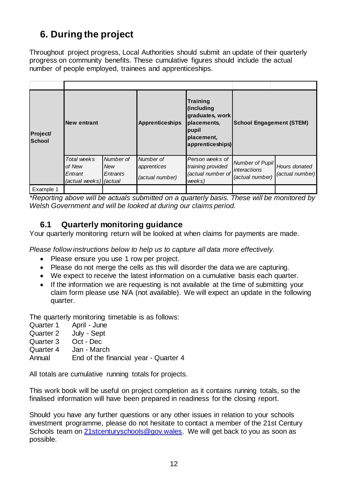# <span id="page-13-0"></span>**6. During the project**

Throughout project progress, Local Authorities should submit an update of their quarterly progress on community benefits. These cumulative figures should include the actual number of people employed, trainees and apprenticeships.

| <b>Project/</b><br><b>School</b> | <b>New entrant</b>                                         |                                     | <b>Apprenticeships</b>                      | <b>Training</b><br>(including<br>graduates, work<br>placements,<br>pupil<br>placement,<br>apprenticeships) | <b>School Engagement (STEM)</b>                    |                                  |
|----------------------------------|------------------------------------------------------------|-------------------------------------|---------------------------------------------|------------------------------------------------------------------------------------------------------------|----------------------------------------------------|----------------------------------|
|                                  | Total weeks<br>of New<br>Entrant<br>(actual weeks) (actual | Number of<br><b>New</b><br>Entrants | Number of<br>apprentices<br>(actual number) | Person weeks of<br>training provided<br>(actual number of<br>weeks)                                        | Number of Pupil<br>interactions<br>(actual number) | Hours donated<br>(actual number) |
| Example 1                        |                                                            |                                     |                                             |                                                                                                            |                                                    |                                  |

*\*Reporting above will be actuals submitted on a quarterly basis. These will be monitored by Welsh Government and will be looked at during our claims period.* 

## **6.1 Quarterly monitoring guidance**

Your quarterly monitoring return will be looked at when claims for payments are made.

*Please follow instructions below to help us to capture all data more effectively.* 

- Please ensure you use 1 row per project.
- Please do not merge the cells as this will disorder the data we are capturing.
- We expect to receive the latest information on a cumulative basis each quarter.
- If the information we are requesting is not available at the time of submitting your claim form please use N/A (not available). We will expect an update in the following quarter.

The quarterly monitoring timetable is as follows:

- Quarter 1 April June
- Quarter 2 July Sept
- Quarter 3 Oct Dec
- Quarter 4 Jan March

Annual End of the financial year - Quarter 4

All totals are cumulative running totals for projects.

This work book will be useful on project completion as it contains running totals, so the finalised information will have been prepared in readiness for the closing report.

Should you have any further questions or any other issues in relation to your schools investment programme, please do not hesitate to contact a member of the 21st Century Schools team on 21 stcenturyschools@gov.wales. We will get back to you as soon as possible.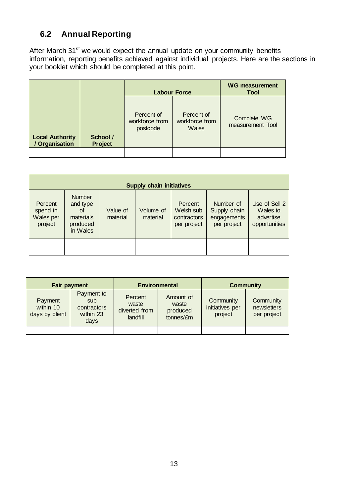## **6.2 Annual Reporting**

After March 31<sup>st</sup> we would expect the annual update on your community benefits information, reporting benefits achieved against individual projects. Here are the sections in your booklet which should be completed at this point.

|                                          |                            | <b>Labour Force</b>                      | <b>WG measurement</b><br><b>Tool</b>  |                                 |
|------------------------------------------|----------------------------|------------------------------------------|---------------------------------------|---------------------------------|
| <b>Local Authority</b><br>/ Organisation | School /<br><b>Project</b> | Percent of<br>workforce from<br>postcode | Percent of<br>workforce from<br>Wales | Complete WG<br>measurement Tool |
|                                          |                            |                                          |                                       |                                 |

| <b>Supply chain initiatives</b>             |                                                                      |                      |                       |                                                    |                                                         |                                                         |  |
|---------------------------------------------|----------------------------------------------------------------------|----------------------|-----------------------|----------------------------------------------------|---------------------------------------------------------|---------------------------------------------------------|--|
| Percent<br>spend in<br>Wales per<br>project | <b>Number</b><br>and type<br>of<br>materials<br>produced<br>in Wales | Value of<br>material | Volume of<br>material | Percent<br>Welsh sub<br>contractors<br>per project | Number of<br>Supply chain<br>engagements<br>per project | Use of Sell 2<br>Wales to<br>advertise<br>opportunities |  |
|                                             |                                                                      |                      |                       |                                                    |                                                         |                                                         |  |

| <b>Fair payment</b>                    |                                                       |                                               | <b>Environmental</b>                        | <b>Community</b>                        |                                         |
|----------------------------------------|-------------------------------------------------------|-----------------------------------------------|---------------------------------------------|-----------------------------------------|-----------------------------------------|
| Payment<br>within 10<br>days by client | Payment to<br>sub<br>contractors<br>within 23<br>days | Percent<br>waste<br>diverted from<br>landfill | Amount of<br>waste<br>produced<br>tonnes/£m | Community<br>initiatives per<br>project | Community<br>newsletters<br>per project |
|                                        |                                                       |                                               |                                             |                                         |                                         |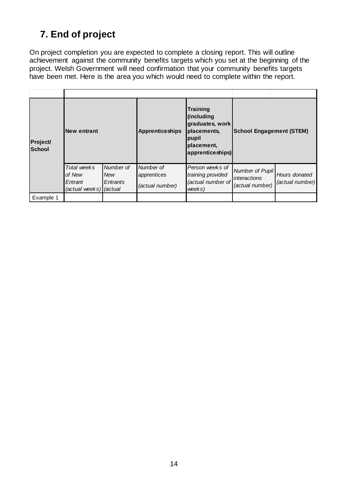# <span id="page-15-0"></span>**7. End of project**

On project completion you are expected to complete a closing report. This will outline achievement against the community benefits targets which you set at the beginning of the project. Welsh Government will need confirmation that your community benefits targets have been met. Here is the area you which would need to complete within the report.

| <b>Project/</b><br><b>School</b> | <b>New entrant</b>                                         |                                     | Training<br>(including<br>graduates, work<br><b>Apprenticeships</b><br>placements,<br>pupil<br>placement,<br>apprenticeships) |                                                                     | <b>School Engagement (STEM)</b>                           |                                  |
|----------------------------------|------------------------------------------------------------|-------------------------------------|-------------------------------------------------------------------------------------------------------------------------------|---------------------------------------------------------------------|-----------------------------------------------------------|----------------------------------|
|                                  | Total weeks<br>of New<br>Entrant<br>(actual weeks) (actual | Number of<br><b>New</b><br>Entrants | Number of<br>apprentices<br>(actual number)                                                                                   | Person weeks of<br>training provided<br>(actual number of<br>weeks) | Number of Pupil<br><i>interactions</i><br>(actual number) | Hours donated<br>(actual number) |
| Example 1                        |                                                            |                                     |                                                                                                                               |                                                                     |                                                           |                                  |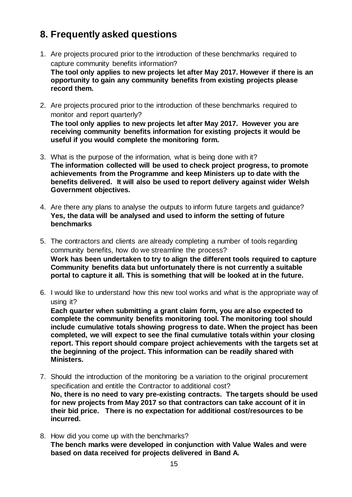# <span id="page-16-0"></span>**8. Frequently asked questions**

- 1. Are projects procured prior to the introduction of these benchmarks required to capture community benefits information? **The tool only applies to new projects let after May 2017. However if there is an opportunity to gain any community benefits from existing projects please record them.**
- 2. Are projects procured prior to the introduction of these benchmarks required to monitor and report quarterly? **The tool only applies to new projects let after May 2017. However you are receiving community benefits information for existing projects it would be useful if you would complete the monitoring form.**
- 3. What is the purpose of the information, what is being done with it? **The information collected will be used to check project progress, to promote achievements from the Programme and keep Ministers up to date with the benefits delivered. It will also be used to report delivery against wider Welsh Government objectives.**
- 4. Are there any plans to analyse the outputs to inform future targets and guidance? **Yes, the data will be analysed and used to inform the setting of future benchmarks**
- 5. The contractors and clients are already completing a number of tools regarding community benefits, how do we streamline the process? **Work has been undertaken to try to align the different tools required to capture Community benefits data but unfortunately there is not currently a suitable portal to capture it all. This is something that will be looked at in the future.**
- 6. I would like to understand how this new tool works and what is the appropriate way of using it?

**Each quarter when submitting a grant claim form, you are also expected to complete the community benefits monitoring tool. The monitoring tool should include cumulative totals showing progress to date. When the project has been completed, we will expect to see the final cumulative totals within your closing report. This report should compare project achievements with the targets set at the beginning of the project. This information can be readily shared with Ministers.**

- 7. Should the introduction of the monitoring be a variation to the original procurement specification and entitle the Contractor to additional cost? **No, there is no need to vary pre-existing contracts. The targets should be used for new projects from May 2017 so that contractors can take account of it in their bid price. There is no expectation for additional cost/resources to be incurred.**
- 8. How did you come up with the benchmarks? **The bench marks were developed in conjunction with Value Wales and were based on data received for projects delivered in Band A.**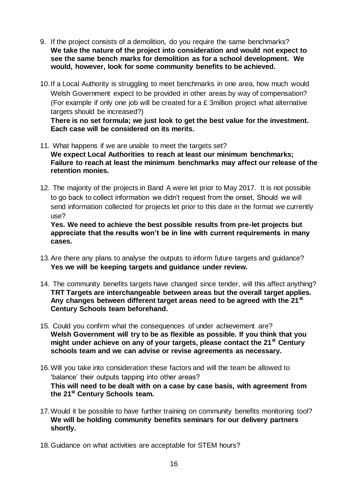- 9. If the project consists of a demolition, do you require the same benchmarks? **We take the nature of the project into consideration and would not expect to see the same bench marks for demolition as for a school development. We would, however, look for some community benefits to be achieved.**
- 10.If a Local Authority is struggling to meet benchmarks in one area, how much would Welsh Government expect to be provided in other areas by way of compensation? (For example if only one job will be created for a £ 3million project what alternative targets should be increased?)

**There is no set formula; we just look to get the best value for the investment. Each case will be considered on its merits.**

- 11. What happens if we are unable to meet the targets set? **We expect Local Authorities to reach at least our minimum benchmarks; Failure to reach at least the minimum benchmarks may affect our release of the retention monies.**
- 12. The majority of the projects in Band A were let prior to May 2017. It is not possible to go back to collect information we didn't request from the onset, Should we will send information collected for projects let prior to this date in the format we currently use?

**Yes. We need to achieve the best possible results from pre-let projects but appreciate that the results won't be in line with current requirements in many cases.**

- 13.Are there any plans to analyse the outputs to inform future targets and guidance? **Yes we will be keeping targets and guidance under review.**
- 14. The community benefits targets have changed since tender, will this affect anything? **TRT Targets are interchangeable between areas but the overall target applies. Any changes between different target areas need to be agreed with the 21st Century Schools team beforehand.**
- 15. Could you confirm what the consequences of under achievement are? **Welsh Government will try to be as flexible as possible. If you think that you might under achieve on any of your targets, please contact the 21st Century schools team and we can advise or revise agreements as necessary.**
- 16.Will you take into consideration these factors and will the team be allowed to 'balance' their outputs tapping into other areas? **This will need to be dealt with on a case by case basis, with agreement from the 21st Century Schools team.**
- 17.Would it be possible to have further training on community benefits monitoring tool? **We will be holding community benefits seminars for our delivery partners shortly.**
- 18.Guidance on what activities are acceptable for STEM hours?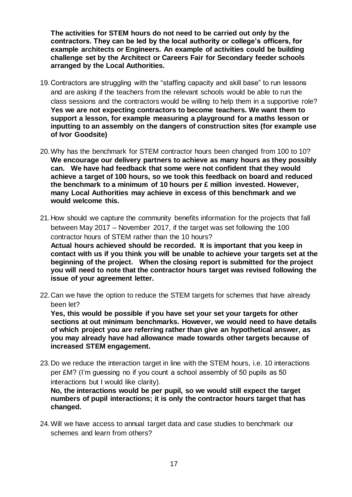**The activities for STEM hours do not need to be carried out only by the contractors. They can be led by the local authority or college's officers, for example architects or Engineers. An example of activities could be building challenge set by the Architect or Careers Fair for Secondary feeder schools arranged by the Local Authorities.** 

- 19.Contractors are struggling with the "staffing capacity and skill base" to run lessons and are asking if the teachers from the relevant schools would be able to run the class sessions and the contractors would be willing to help them in a supportive role? **Yes we are not expecting contractors to become teachers. We want them to support a lesson, for example measuring a playground for a maths lesson or inputting to an assembly on the dangers of construction sites (for example use of Ivor Goodsite)**
- 20.Why has the benchmark for STEM contractor hours been changed from 100 to 10? **We encourage our delivery partners to achieve as many hours as they possibly can. We have had feedback that some were not confident that they would achieve a target of 100 hours, so we took this feedback on board and reduced the benchmark to a minimum of 10 hours per £ million invested. However, many Local Authorities may achieve in excess of this benchmark and we would welcome this.**
- 21.How should we capture the community benefits information for the projects that fall between May 2017 – November 2017, if the target was set following the 100 contractor hours of STEM rather than the 10 hours? **Actual hours achieved should be recorded. It is important that you keep in**

**contact with us if you think you will be unable to achieve your targets set at the beginning of the project. When the closing report is submitted for the project you will need to note that the contractor hours target was revised following the issue of your agreement letter.**

22.Can we have the option to reduce the STEM targets for schemes that have already been let?

**Yes, this would be possible if you have set your set your targets for other sections at out minimum benchmarks. However, we would need to have details of which project you are referring rather than give an hypothetical answer, as you may already have had allowance made towards other targets because of increased STEM engagement.**

23.Do we reduce the interaction target in line with the STEM hours, i.e. 10 interactions per £M? (I'm guessing no if you count a school assembly of 50 pupils as 50 interactions but I would like clarity).

**No, the interactions would be per pupil, so we would still expect the target numbers of pupil interactions; it is only the contractor hours target that has changed.**

24.Will we have access to annual target data and case studies to benchmark our schemes and learn from others?